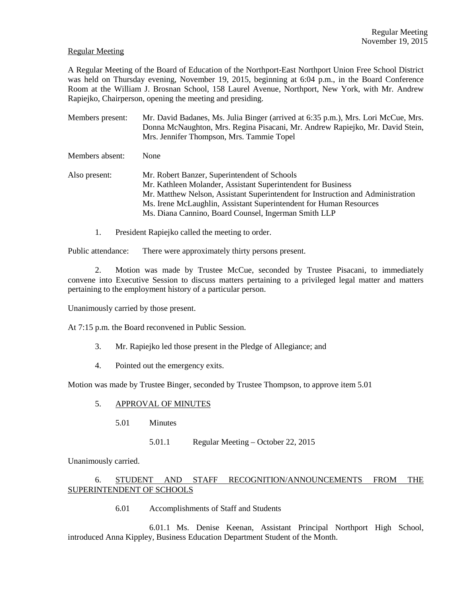#### Regular Meeting

A Regular Meeting of the Board of Education of the Northport-East Northport Union Free School District was held on Thursday evening, November 19, 2015, beginning at 6:04 p.m., in the Board Conference Room at the William J. Brosnan School, 158 Laurel Avenue, Northport, New York, with Mr. Andrew Rapiejko, Chairperson, opening the meeting and presiding.

- Members present: Mr. David Badanes, Ms. Julia Binger (arrived at 6:35 p.m.), Mrs. Lori McCue, Mrs. Donna McNaughton, Mrs. Regina Pisacani, Mr. Andrew Rapiejko, Mr. David Stein, Mrs. Jennifer Thompson, Mrs. Tammie Topel
- Members absent: None
- Also present: Mr. Robert Banzer, Superintendent of Schools Mr. Kathleen Molander, Assistant Superintendent for Business Mr. Matthew Nelson, Assistant Superintendent for Instruction and Administration Ms. Irene McLaughlin, Assistant Superintendent for Human Resources Ms. Diana Cannino, Board Counsel, Ingerman Smith LLP
	- 1. President Rapiejko called the meeting to order.

Public attendance: There were approximately thirty persons present.

2. Motion was made by Trustee McCue, seconded by Trustee Pisacani, to immediately convene into Executive Session to discuss matters pertaining to a privileged legal matter and matters pertaining to the employment history of a particular person.

Unanimously carried by those present.

At 7:15 p.m. the Board reconvened in Public Session.

- 3. Mr. Rapiejko led those present in the Pledge of Allegiance; and
- 4. Pointed out the emergency exits.

Motion was made by Trustee Binger, seconded by Trustee Thompson, to approve item 5.01

# 5. APPROVAL OF MINUTES

- 5.01 Minutes
	- 5.01.1 Regular Meeting October 22, 2015

Unanimously carried.

# 6. STUDENT AND STAFF RECOGNITION/ANNOUNCEMENTS FROM THE SUPERINTENDENT OF SCHOOLS

6.01 Accomplishments of Staff and Students

 6.01.1 Ms. Denise Keenan, Assistant Principal Northport High School, introduced Anna Kippley, Business Education Department Student of the Month.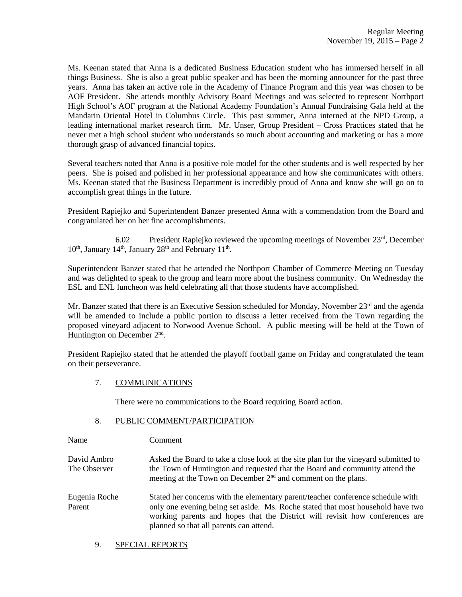Ms. Keenan stated that Anna is a dedicated Business Education student who has immersed herself in all things Business. She is also a great public speaker and has been the morning announcer for the past three years. Anna has taken an active role in the Academy of Finance Program and this year was chosen to be AOF President. She attends monthly Advisory Board Meetings and was selected to represent Northport High School's AOF program at the National Academy Foundation's Annual Fundraising Gala held at the Mandarin Oriental Hotel in Columbus Circle. This past summer, Anna interned at the NPD Group, a leading international market research firm. Mr. Unser, Group President – Cross Practices stated that he never met a high school student who understands so much about accounting and marketing or has a more thorough grasp of advanced financial topics.

Several teachers noted that Anna is a positive role model for the other students and is well respected by her peers. She is poised and polished in her professional appearance and how she communicates with others. Ms. Keenan stated that the Business Department is incredibly proud of Anna and know she will go on to accomplish great things in the future.

President Rapiejko and Superintendent Banzer presented Anna with a commendation from the Board and congratulated her on her fine accomplishments.

 6.02 President Rapiejko reviewed the upcoming meetings of November 23rd, December  $10<sup>th</sup>$ , January  $14<sup>th</sup>$ , January  $28<sup>th</sup>$  and February  $11<sup>th</sup>$ .

Superintendent Banzer stated that he attended the Northport Chamber of Commerce Meeting on Tuesday and was delighted to speak to the group and learn more about the business community. On Wednesday the ESL and ENL luncheon was held celebrating all that those students have accomplished.

Mr. Banzer stated that there is an Executive Session scheduled for Monday, November 23<sup>rd</sup> and the agenda will be amended to include a public portion to discuss a letter received from the Town regarding the proposed vineyard adjacent to Norwood Avenue School. A public meeting will be held at the Town of Huntington on December 2<sup>nd</sup>.

President Rapiejko stated that he attended the playoff football game on Friday and congratulated the team on their perseverance.

# 7. COMMUNICATIONS

There were no communications to the Board requiring Board action.

# 8. PUBLIC COMMENT/PARTICIPATION

Name Comment

David Ambro Asked the Board to take a close look at the site plan for the vineyard submitted to The Observer the Town of Huntington and requested that the Board and community attend the meeting at the Town on December 2<sup>nd</sup> and comment on the plans.

- Eugenia Roche Stated her concerns with the elementary parent/teacher conference schedule with Parent only one evening being set aside. Ms. Roche stated that most household have two working parents and hopes that the District will revisit how conferences are planned so that all parents can attend.
	- 9. SPECIAL REPORTS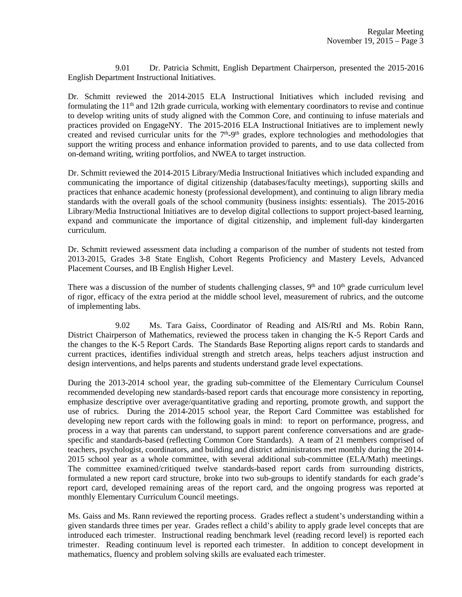9.01 Dr. Patricia Schmitt, English Department Chairperson, presented the 2015-2016 English Department Instructional Initiatives.

Dr. Schmitt reviewed the 2014-2015 ELA Instructional Initiatives which included revising and formulating the  $11<sup>th</sup>$  and  $12th$  grade curricula, working with elementary coordinators to revise and continue to develop writing units of study aligned with the Common Core, and continuing to infuse materials and practices provided on EngageNY. The 2015-2016 ELA Instructional Initiatives are to implement newly created and revised curricular units for the  $7<sup>th</sup>$ -9<sup>th</sup> grades, explore technologies and methodologies that support the writing process and enhance information provided to parents, and to use data collected from on-demand writing, writing portfolios, and NWEA to target instruction.

Dr. Schmitt reviewed the 2014-2015 Library/Media Instructional Initiatives which included expanding and communicating the importance of digital citizenship (databases/faculty meetings), supporting skills and practices that enhance academic honesty (professional development), and continuing to align library media standards with the overall goals of the school community (business insights: essentials). The 2015-2016 Library/Media Instructional Initiatives are to develop digital collections to support project-based learning, expand and communicate the importance of digital citizenship, and implement full-day kindergarten curriculum.

Dr. Schmitt reviewed assessment data including a comparison of the number of students not tested from 2013-2015, Grades 3-8 State English, Cohort Regents Proficiency and Mastery Levels, Advanced Placement Courses, and IB English Higher Level.

There was a discussion of the number of students challenging classes,  $9<sup>th</sup>$  and  $10<sup>th</sup>$  grade curriculum level of rigor, efficacy of the extra period at the middle school level, measurement of rubrics, and the outcome of implementing labs.

 9.02 Ms. Tara Gaiss, Coordinator of Reading and AIS/RtI and Ms. Robin Rann, District Chairperson of Mathematics, reviewed the process taken in changing the K-5 Report Cards and the changes to the K-5 Report Cards. The Standards Base Reporting aligns report cards to standards and current practices, identifies individual strength and stretch areas, helps teachers adjust instruction and design interventions, and helps parents and students understand grade level expectations.

During the 2013-2014 school year, the grading sub-committee of the Elementary Curriculum Counsel recommended developing new standards-based report cards that encourage more consistency in reporting, emphasize descriptive over average/quantitative grading and reporting, promote growth, and support the use of rubrics. During the 2014-2015 school year, the Report Card Committee was established for developing new report cards with the following goals in mind: to report on performance, progress, and process in a way that parents can understand, to support parent conference conversations and are gradespecific and standards-based (reflecting Common Core Standards). A team of 21 members comprised of teachers, psychologist, coordinators, and building and district administrators met monthly during the 2014- 2015 school year as a whole committee, with several additional sub-committee (ELA/Math) meetings. The committee examined/critiqued twelve standards-based report cards from surrounding districts, formulated a new report card structure, broke into two sub-groups to identify standards for each grade's report card, developed remaining areas of the report card, and the ongoing progress was reported at monthly Elementary Curriculum Council meetings.

Ms. Gaiss and Ms. Rann reviewed the reporting process. Grades reflect a student's understanding within a given standards three times per year. Grades reflect a child's ability to apply grade level concepts that are introduced each trimester. Instructional reading benchmark level (reading record level) is reported each trimester. Reading continuum level is reported each trimester. In addition to concept development in mathematics, fluency and problem solving skills are evaluated each trimester.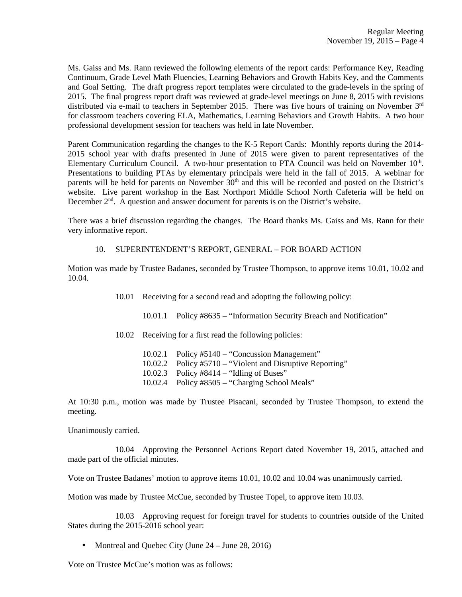Ms. Gaiss and Ms. Rann reviewed the following elements of the report cards: Performance Key, Reading Continuum, Grade Level Math Fluencies, Learning Behaviors and Growth Habits Key, and the Comments and Goal Setting. The draft progress report templates were circulated to the grade-levels in the spring of 2015. The final progress report draft was reviewed at grade-level meetings on June 8, 2015 with revisions distributed via e-mail to teachers in September 2015. There was five hours of training on November 3rd for classroom teachers covering ELA, Mathematics, Learning Behaviors and Growth Habits. A two hour professional development session for teachers was held in late November.

Parent Communication regarding the changes to the K-5 Report Cards: Monthly reports during the 2014- 2015 school year with drafts presented in June of 2015 were given to parent representatives of the Elementary Curriculum Council. A two-hour presentation to PTA Council was held on November 10<sup>th</sup>. Presentations to building PTAs by elementary principals were held in the fall of 2015. A webinar for parents will be held for parents on November 30<sup>th</sup> and this will be recorded and posted on the District's website. Live parent workshop in the East Northport Middle School North Cafeteria will be held on December  $2<sup>nd</sup>$ . A question and answer document for parents is on the District's website.

There was a brief discussion regarding the changes. The Board thanks Ms. Gaiss and Ms. Rann for their very informative report.

#### 10. SUPERINTENDENT'S REPORT, GENERAL – FOR BOARD ACTION

Motion was made by Trustee Badanes, seconded by Trustee Thompson, to approve items 10.01, 10.02 and 10.04.

10.01 Receiving for a second read and adopting the following policy:

10.01.1 Policy #8635 – "Information Security Breach and Notification"

10.02 Receiving for a first read the following policies:

 10.02.1 Policy #5140 – "Concussion Management" 10.02.2 Policy #5710 – "Violent and Disruptive Reporting" 10.02.3 Policy #8414 – "Idling of Buses" 10.02.4 Policy #8505 – "Charging School Meals"

At 10:30 p.m., motion was made by Trustee Pisacani, seconded by Trustee Thompson, to extend the meeting.

Unanimously carried.

 10.04 Approving the Personnel Actions Report dated November 19, 2015, attached and made part of the official minutes.

Vote on Trustee Badanes' motion to approve items 10.01, 10.02 and 10.04 was unanimously carried.

Motion was made by Trustee McCue, seconded by Trustee Topel, to approve item 10.03.

 10.03 Approving request for foreign travel for students to countries outside of the United States during the 2015-2016 school year:

• Montreal and Quebec City (June 24 – June 28, 2016)

Vote on Trustee McCue's motion was as follows: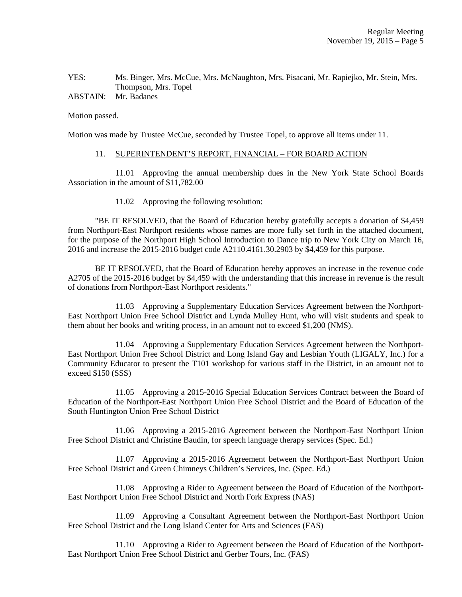#### YES: Ms. Binger, Mrs. McCue, Mrs. McNaughton, Mrs. Pisacani, Mr. Rapiejko, Mr. Stein, Mrs. Thompson, Mrs. Topel ABSTAIN: Mr. Badanes

Motion passed.

Motion was made by Trustee McCue, seconded by Trustee Topel, to approve all items under 11.

#### 11. SUPERINTENDENT'S REPORT, FINANCIAL – FOR BOARD ACTION

 11.01 Approving the annual membership dues in the New York State School Boards Association in the amount of \$11,782.00

11.02 Approving the following resolution:

 "BE IT RESOLVED, that the Board of Education hereby gratefully accepts a donation of \$4,459 from Northport-East Northport residents whose names are more fully set forth in the attached document, for the purpose of the Northport High School Introduction to Dance trip to New York City on March 16, 2016 and increase the 2015-2016 budget code A2110.4161.30.2903 by \$4,459 for this purpose.

 BE IT RESOLVED, that the Board of Education hereby approves an increase in the revenue code A2705 of the 2015-2016 budget by \$4,459 with the understanding that this increase in revenue is the result of donations from Northport-East Northport residents."

 11.03 Approving a Supplementary Education Services Agreement between the Northport-East Northport Union Free School District and Lynda Mulley Hunt, who will visit students and speak to them about her books and writing process, in an amount not to exceed \$1,200 (NMS).

 11.04 Approving a Supplementary Education Services Agreement between the Northport-East Northport Union Free School District and Long Island Gay and Lesbian Youth (LIGALY, Inc.) for a Community Educator to present the T101 workshop for various staff in the District, in an amount not to exceed \$150 (SSS)

 11.05 Approving a 2015-2016 Special Education Services Contract between the Board of Education of the Northport-East Northport Union Free School District and the Board of Education of the South Huntington Union Free School District

 11.06 Approving a 2015-2016 Agreement between the Northport-East Northport Union Free School District and Christine Baudin, for speech language therapy services (Spec. Ed.)

 11.07 Approving a 2015-2016 Agreement between the Northport-East Northport Union Free School District and Green Chimneys Children's Services, Inc. (Spec. Ed.)

 11.08 Approving a Rider to Agreement between the Board of Education of the Northport-East Northport Union Free School District and North Fork Express (NAS)

 11.09 Approving a Consultant Agreement between the Northport-East Northport Union Free School District and the Long Island Center for Arts and Sciences (FAS)

 11.10 Approving a Rider to Agreement between the Board of Education of the Northport-East Northport Union Free School District and Gerber Tours, Inc. (FAS)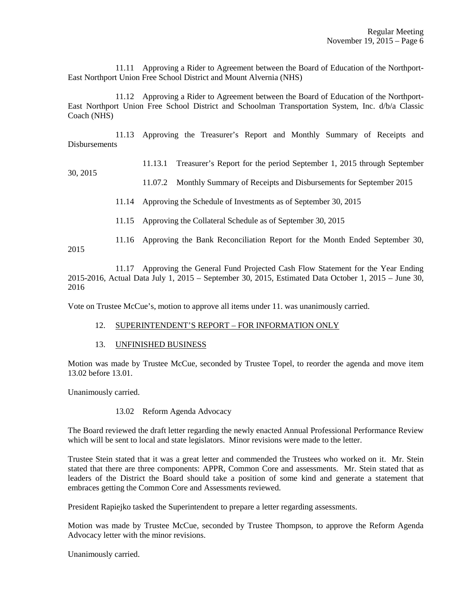11.11 Approving a Rider to Agreement between the Board of Education of the Northport-East Northport Union Free School District and Mount Alvernia (NHS)

 11.12 Approving a Rider to Agreement between the Board of Education of the Northport-East Northport Union Free School District and Schoolman Transportation System, Inc. d/b/a Classic Coach (NHS)

 11.13 Approving the Treasurer's Report and Monthly Summary of Receipts and **Disbursements** 

# 11.13.1 Treasurer's Report for the period September 1, 2015 through September

30, 2015

# 11.07.2 Monthly Summary of Receipts and Disbursements for September 2015

11.14 Approving the Schedule of Investments as of September 30, 2015

- 11.15 Approving the Collateral Schedule as of September 30, 2015
- 11.16 Approving the Bank Reconciliation Report for the Month Ended September 30, 2015

 11.17 Approving the General Fund Projected Cash Flow Statement for the Year Ending 2015-2016, Actual Data July 1, 2015 – September 30, 2015, Estimated Data October 1, 2015 – June 30, 2016

Vote on Trustee McCue's, motion to approve all items under 11. was unanimously carried.

# 12. SUPERINTENDENT'S REPORT – FOR INFORMATION ONLY

13. UNFINISHED BUSINESS

Motion was made by Trustee McCue, seconded by Trustee Topel, to reorder the agenda and move item 13.02 before 13.01.

Unanimously carried.

# 13.02 Reform Agenda Advocacy

The Board reviewed the draft letter regarding the newly enacted Annual Professional Performance Review which will be sent to local and state legislators. Minor revisions were made to the letter.

Trustee Stein stated that it was a great letter and commended the Trustees who worked on it. Mr. Stein stated that there are three components: APPR, Common Core and assessments. Mr. Stein stated that as leaders of the District the Board should take a position of some kind and generate a statement that embraces getting the Common Core and Assessments reviewed.

President Rapiejko tasked the Superintendent to prepare a letter regarding assessments.

Motion was made by Trustee McCue, seconded by Trustee Thompson, to approve the Reform Agenda Advocacy letter with the minor revisions.

Unanimously carried.